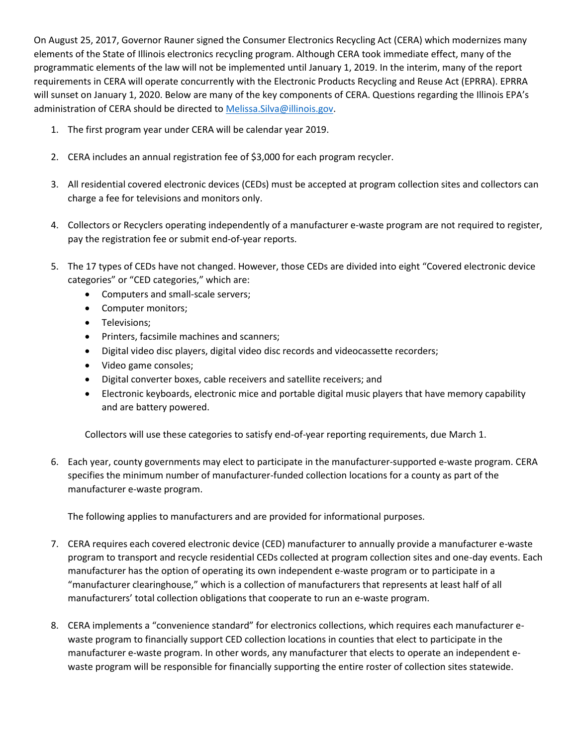On August 25, 2017, Governor Rauner signed the Consumer Electronics Recycling Act (CERA) which modernizes many elements of the State of Illinois electronics recycling program. Although CERA took immediate effect, many of the programmatic elements of the law will not be implemented until January 1, 2019. In the interim, many of the report requirements in CERA will operate concurrently with the Electronic Products Recycling and Reuse Act (EPRRA). EPRRA will sunset on January 1, 2020. Below are many of the key components of CERA. Questions regarding the Illinois EPA's administration of CERA should be directed to Melissa. Silva@illinois.gov.

- 1. The first program year under CERA will be calendar year 2019.
- 2. CERA includes an annual registration fee of \$3,000 for each program recycler.
- 3. All residential covered electronic devices (CEDs) must be accepted at program collection sites and collectors can charge a fee for televisions and monitors only.
- 4. Collectors or Recyclers operating independently of a manufacturer e-waste program are not required to register, pay the registration fee or submit end-of-year reports.
- 5. The 17 types of CEDs have not changed. However, those CEDs are divided into eight "Covered electronic device categories" or "CED categories," which are:
	- Computers and small-scale servers;
	- Computer monitors;
	- Televisions;
	- Printers, facsimile machines and scanners;
	- Digital video disc players, digital video disc records and videocassette recorders;
	- Video game consoles;
	- Digital converter boxes, cable receivers and satellite receivers; and
	- Electronic keyboards, electronic mice and portable digital music players that have memory capability and are battery powered.

Collectors will use these categories to satisfy end-of-year reporting requirements, due March 1.

6. Each year, county governments may elect to participate in the manufacturer-supported e-waste program. CERA specifies the minimum number of manufacturer-funded collection locations for a county as part of the manufacturer e-waste program.

The following applies to manufacturers and are provided for informational purposes.

- 7. CERA requires each covered electronic device (CED) manufacturer to annually provide a manufacturer e-waste program to transport and recycle residential CEDs collected at program collection sites and one-day events. Each manufacturer has the option of operating its own independent e-waste program or to participate in a "manufacturer clearinghouse," which is a collection of manufacturers that represents at least half of all manufacturers' total collection obligations that cooperate to run an e-waste program.
- 8. CERA implements a "convenience standard" for electronics collections, which requires each manufacturer ewaste program to financially support CED collection locations in counties that elect to participate in the manufacturer e-waste program. In other words, any manufacturer that elects to operate an independent ewaste program will be responsible for financially supporting the entire roster of collection sites statewide.